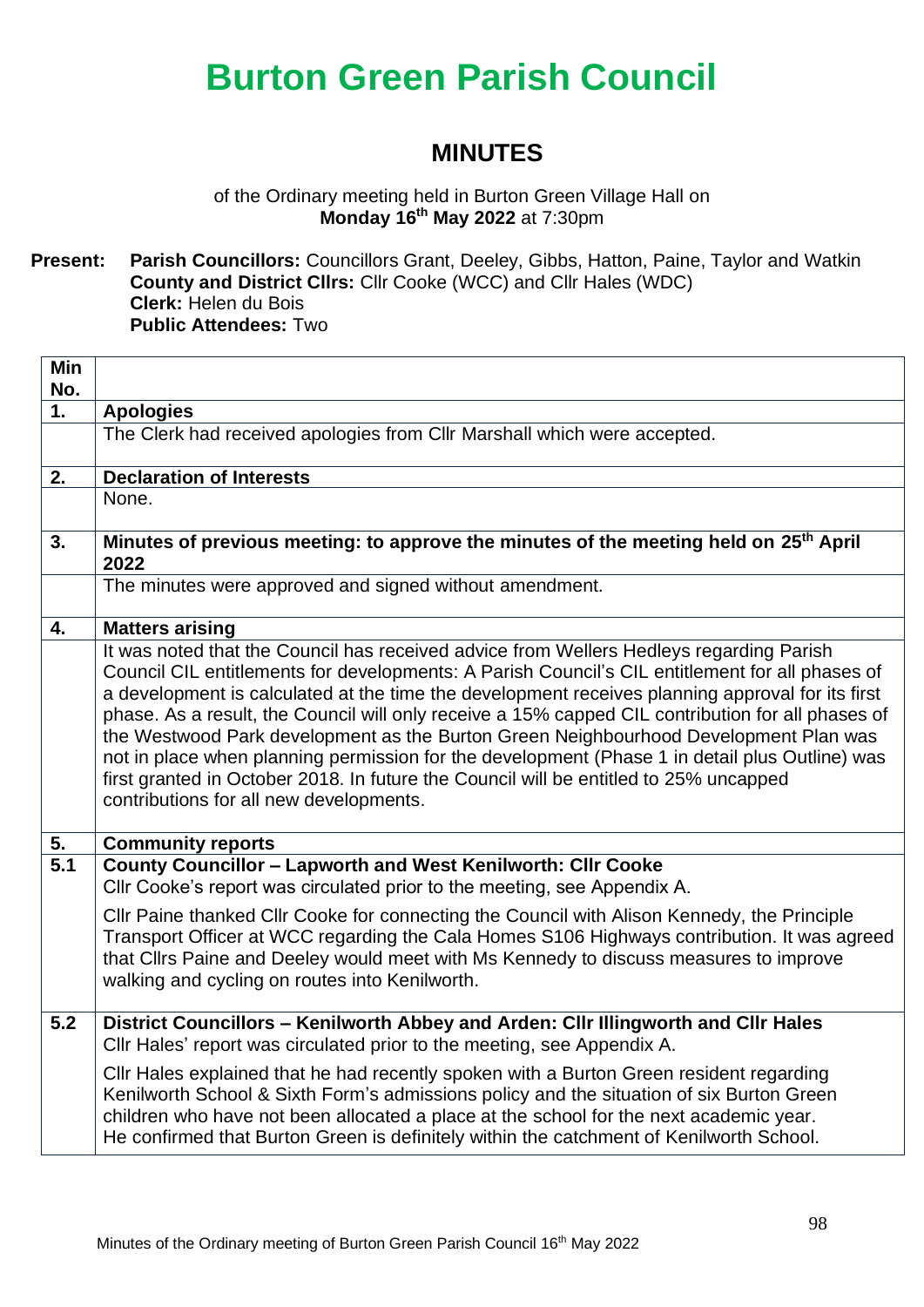### **MINUTES**

of the Ordinary meeting held in Burton Green Village Hall on **Monday 16th May 2022** at 7:30pm

**Present: Parish Councillors:** Councillors Grant, Deeley, Gibbs, Hatton, Paine, Taylor and Watkin **County and District Cllrs:** Cllr Cooke (WCC) and Cllr Hales (WDC) **Clerk:** Helen du Bois **Public Attendees:** Two

| Min<br>No. |                                                                                                                                                                                                                                                                                                                                                                                                                                                                                                                                                                                                                                                                                                                                   |
|------------|-----------------------------------------------------------------------------------------------------------------------------------------------------------------------------------------------------------------------------------------------------------------------------------------------------------------------------------------------------------------------------------------------------------------------------------------------------------------------------------------------------------------------------------------------------------------------------------------------------------------------------------------------------------------------------------------------------------------------------------|
| 1.         | <b>Apologies</b>                                                                                                                                                                                                                                                                                                                                                                                                                                                                                                                                                                                                                                                                                                                  |
|            | The Clerk had received apologies from Cllr Marshall which were accepted.                                                                                                                                                                                                                                                                                                                                                                                                                                                                                                                                                                                                                                                          |
| 2.         | <b>Declaration of Interests</b>                                                                                                                                                                                                                                                                                                                                                                                                                                                                                                                                                                                                                                                                                                   |
|            | None.                                                                                                                                                                                                                                                                                                                                                                                                                                                                                                                                                                                                                                                                                                                             |
| 3.         | Minutes of previous meeting: to approve the minutes of the meeting held on 25 <sup>th</sup> April<br>2022                                                                                                                                                                                                                                                                                                                                                                                                                                                                                                                                                                                                                         |
|            | The minutes were approved and signed without amendment.                                                                                                                                                                                                                                                                                                                                                                                                                                                                                                                                                                                                                                                                           |
| 4.         | <b>Matters arising</b>                                                                                                                                                                                                                                                                                                                                                                                                                                                                                                                                                                                                                                                                                                            |
|            | It was noted that the Council has received advice from Wellers Hedleys regarding Parish<br>Council CIL entitlements for developments: A Parish Council's CIL entitlement for all phases of<br>a development is calculated at the time the development receives planning approval for its first<br>phase. As a result, the Council will only receive a 15% capped CIL contribution for all phases of<br>the Westwood Park development as the Burton Green Neighbourhood Development Plan was<br>not in place when planning permission for the development (Phase 1 in detail plus Outline) was<br>first granted in October 2018. In future the Council will be entitled to 25% uncapped<br>contributions for all new developments. |
| 5.         | <b>Community reports</b>                                                                                                                                                                                                                                                                                                                                                                                                                                                                                                                                                                                                                                                                                                          |
| 5.1        | County Councillor - Lapworth and West Kenilworth: Cllr Cooke<br>CIIr Cooke's report was circulated prior to the meeting, see Appendix A.                                                                                                                                                                                                                                                                                                                                                                                                                                                                                                                                                                                          |
|            | CIIr Paine thanked CIIr Cooke for connecting the Council with Alison Kennedy, the Principle<br>Transport Officer at WCC regarding the Cala Homes S106 Highways contribution. It was agreed<br>that Cllrs Paine and Deeley would meet with Ms Kennedy to discuss measures to improve<br>walking and cycling on routes into Kenilworth.                                                                                                                                                                                                                                                                                                                                                                                             |
| 5.2        | District Councillors - Kenilworth Abbey and Arden: Cllr Illingworth and Cllr Hales<br>Cllr Hales' report was circulated prior to the meeting, see Appendix A.                                                                                                                                                                                                                                                                                                                                                                                                                                                                                                                                                                     |
|            | Cllr Hales explained that he had recently spoken with a Burton Green resident regarding<br>Kenilworth School & Sixth Form's admissions policy and the situation of six Burton Green<br>children who have not been allocated a place at the school for the next academic year.<br>He confirmed that Burton Green is definitely within the catchment of Kenilworth School.                                                                                                                                                                                                                                                                                                                                                          |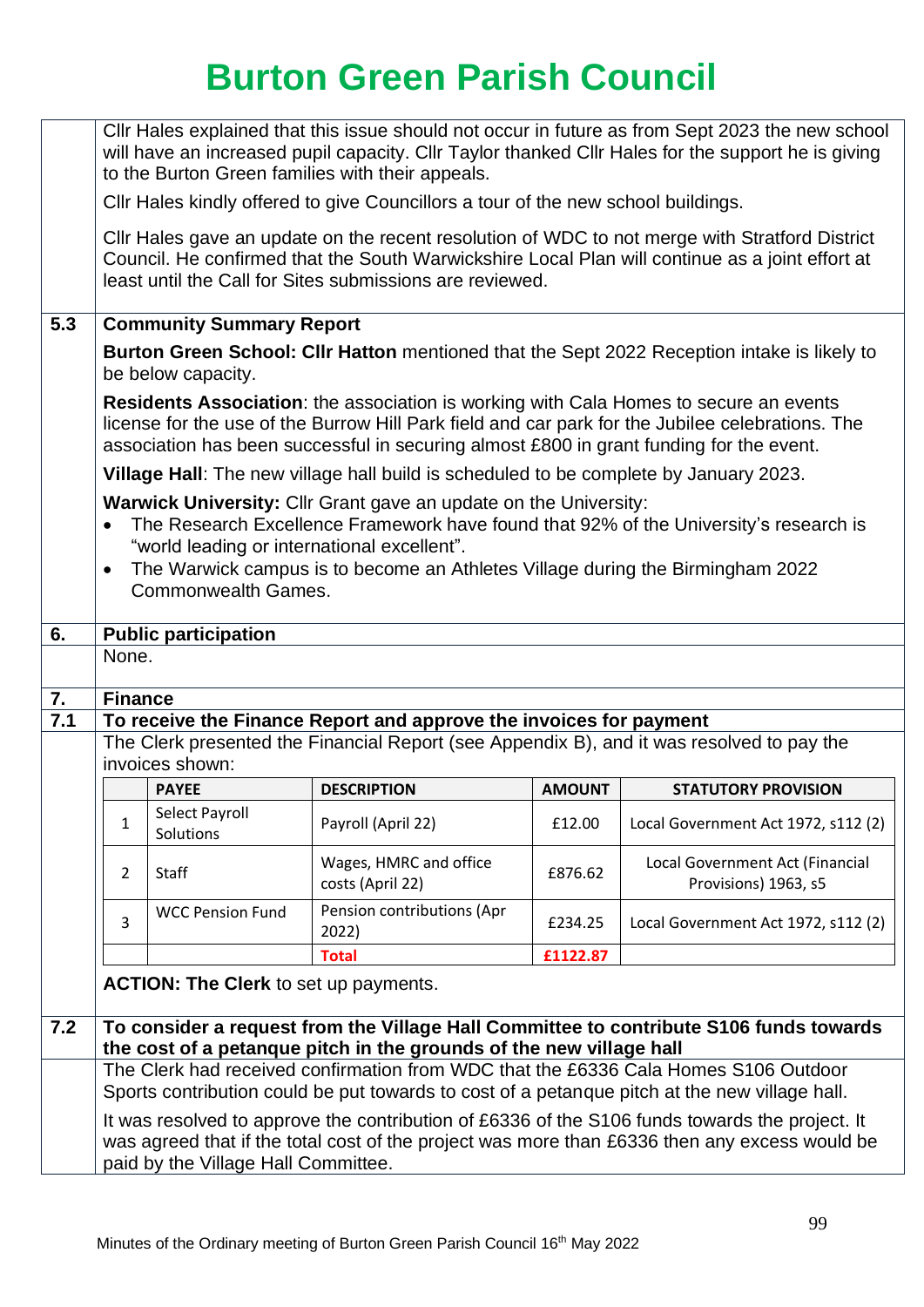|     | CIIr Hales explained that this issue should not occur in future as from Sept 2023 the new school<br>will have an increased pupil capacity. Cllr Taylor thanked Cllr Hales for the support he is giving<br>to the Burton Green families with their appeals. |                                                                           |                                                                                                                                                    |               |                                                                                                                                                                                                   |  |  |
|-----|------------------------------------------------------------------------------------------------------------------------------------------------------------------------------------------------------------------------------------------------------------|---------------------------------------------------------------------------|----------------------------------------------------------------------------------------------------------------------------------------------------|---------------|---------------------------------------------------------------------------------------------------------------------------------------------------------------------------------------------------|--|--|
|     | CIIr Hales kindly offered to give Councillors a tour of the new school buildings.                                                                                                                                                                          |                                                                           |                                                                                                                                                    |               |                                                                                                                                                                                                   |  |  |
|     |                                                                                                                                                                                                                                                            |                                                                           | least until the Call for Sites submissions are reviewed.                                                                                           |               | Cllr Hales gave an update on the recent resolution of WDC to not merge with Stratford District<br>Council. He confirmed that the South Warwickshire Local Plan will continue as a joint effort at |  |  |
| 5.3 |                                                                                                                                                                                                                                                            | <b>Community Summary Report</b>                                           |                                                                                                                                                    |               |                                                                                                                                                                                                   |  |  |
|     |                                                                                                                                                                                                                                                            | be below capacity.                                                        |                                                                                                                                                    |               | <b>Burton Green School: CIIr Hatton</b> mentioned that the Sept 2022 Reception intake is likely to                                                                                                |  |  |
|     |                                                                                                                                                                                                                                                            |                                                                           | association has been successful in securing almost £800 in grant funding for the event.                                                            |               | <b>Residents Association:</b> the association is working with Cala Homes to secure an events<br>license for the use of the Burrow Hill Park field and car park for the Jubilee celebrations. The  |  |  |
|     |                                                                                                                                                                                                                                                            |                                                                           | Village Hall: The new village hall build is scheduled to be complete by January 2023.                                                              |               |                                                                                                                                                                                                   |  |  |
|     | $\bullet$                                                                                                                                                                                                                                                  | "world leading or international excellent".<br><b>Commonwealth Games.</b> | Warwick University: Cllr Grant gave an update on the University:<br>The Warwick campus is to become an Athletes Village during the Birmingham 2022 |               | The Research Excellence Framework have found that 92% of the University's research is                                                                                                             |  |  |
| 6.  |                                                                                                                                                                                                                                                            | <b>Public participation</b>                                               |                                                                                                                                                    |               |                                                                                                                                                                                                   |  |  |
|     | None.                                                                                                                                                                                                                                                      |                                                                           |                                                                                                                                                    |               |                                                                                                                                                                                                   |  |  |
| 7.  | <b>Finance</b>                                                                                                                                                                                                                                             |                                                                           |                                                                                                                                                    |               |                                                                                                                                                                                                   |  |  |
| 7.1 |                                                                                                                                                                                                                                                            | invoices shown:                                                           | To receive the Finance Report and approve the invoices for payment                                                                                 |               | The Clerk presented the Financial Report (see Appendix B), and it was resolved to pay the                                                                                                         |  |  |
|     |                                                                                                                                                                                                                                                            | <b>PAYEE</b>                                                              | <b>DESCRIPTION</b>                                                                                                                                 | <b>AMOUNT</b> | <b>STATUTORY PROVISION</b>                                                                                                                                                                        |  |  |
|     | 1                                                                                                                                                                                                                                                          | Select Payroll<br>Solutions                                               | Payroll (April 22)                                                                                                                                 | £12.00        | Local Government Act 1972, s112 (2)                                                                                                                                                               |  |  |
|     | Wages, HMRC and office<br>Local Government Act (Financial<br>Staff<br>£876.62<br>2<br>costs (April 22)<br>Provisions) 1963, s5                                                                                                                             |                                                                           |                                                                                                                                                    |               |                                                                                                                                                                                                   |  |  |
|     | Pension contributions (Apr<br><b>WCC Pension Fund</b><br>3<br>Local Government Act 1972, s112 (2)<br>£234.25<br>2022)                                                                                                                                      |                                                                           |                                                                                                                                                    |               |                                                                                                                                                                                                   |  |  |
|     | £1122.87<br><b>Total</b>                                                                                                                                                                                                                                   |                                                                           |                                                                                                                                                    |               |                                                                                                                                                                                                   |  |  |
|     |                                                                                                                                                                                                                                                            | <b>ACTION: The Clerk to set up payments.</b>                              |                                                                                                                                                    |               |                                                                                                                                                                                                   |  |  |
| 7.2 |                                                                                                                                                                                                                                                            |                                                                           | the cost of a petanque pitch in the grounds of the new village hall                                                                                |               | To consider a request from the Village Hall Committee to contribute S106 funds towards                                                                                                            |  |  |
|     | The Clerk had received confirmation from WDC that the £6336 Cala Homes S106 Outdoor<br>Sports contribution could be put towards to cost of a petanque pitch at the new village hall.                                                                       |                                                                           |                                                                                                                                                    |               |                                                                                                                                                                                                   |  |  |
|     | It was resolved to approve the contribution of £6336 of the S106 funds towards the project. It<br>was agreed that if the total cost of the project was more than £6336 then any excess would be<br>paid by the Village Hall Committee.                     |                                                                           |                                                                                                                                                    |               |                                                                                                                                                                                                   |  |  |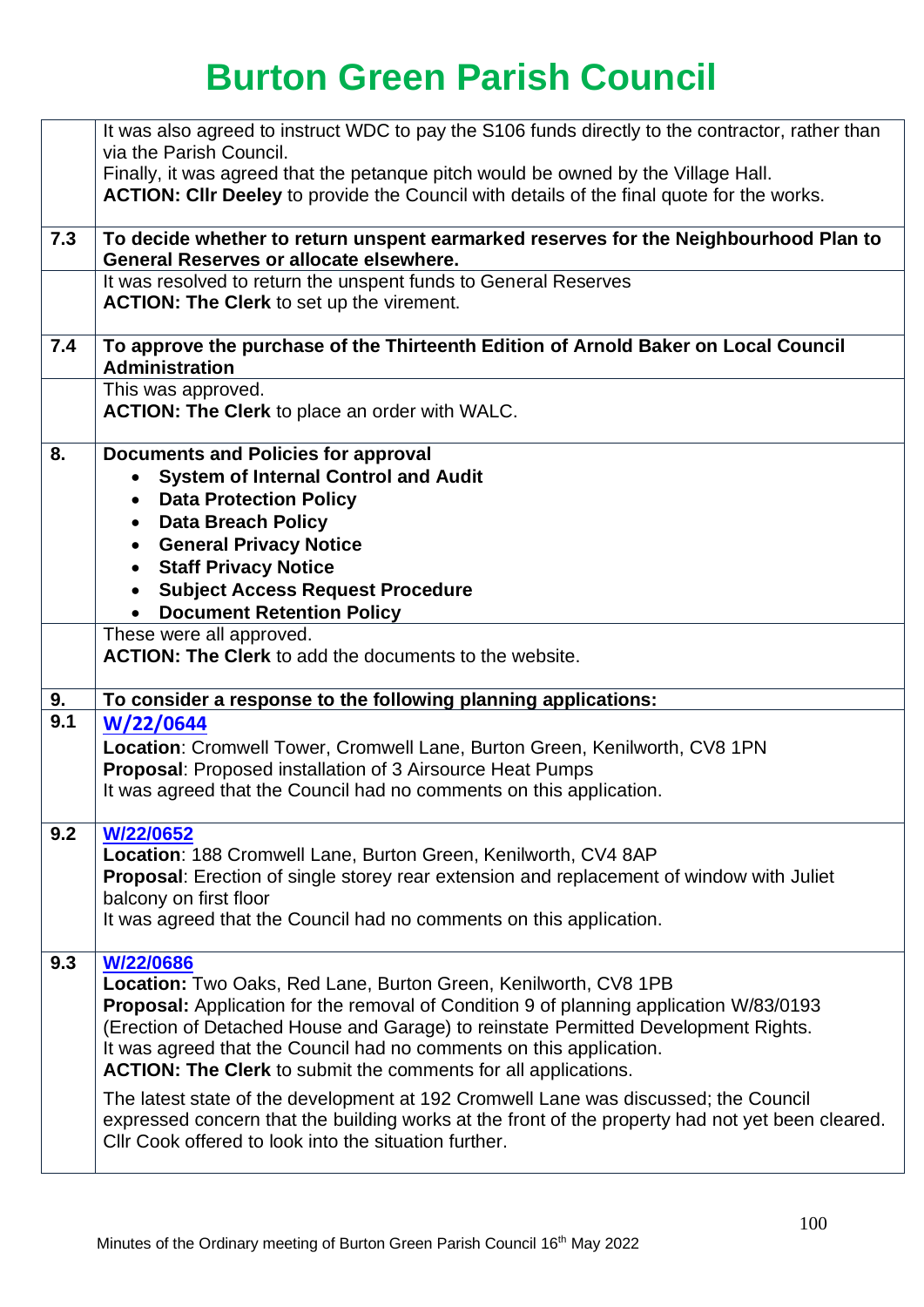|     | It was also agreed to instruct WDC to pay the S106 funds directly to the contractor, rather than<br>via the Parish Council.                               |
|-----|-----------------------------------------------------------------------------------------------------------------------------------------------------------|
|     | Finally, it was agreed that the petangue pitch would be owned by the Village Hall.                                                                        |
|     | ACTION: CIIr Deeley to provide the Council with details of the final quote for the works.                                                                 |
|     |                                                                                                                                                           |
| 7.3 | To decide whether to return unspent earmarked reserves for the Neighbourhood Plan to<br>General Reserves or allocate elsewhere.                           |
|     | It was resolved to return the unspent funds to General Reserves                                                                                           |
|     | <b>ACTION: The Clerk to set up the virement.</b>                                                                                                          |
| 7.4 | To approve the purchase of the Thirteenth Edition of Arnold Baker on Local Council<br><b>Administration</b>                                               |
|     | This was approved.                                                                                                                                        |
|     | <b>ACTION: The Clerk to place an order with WALC.</b>                                                                                                     |
| 8.  | <b>Documents and Policies for approval</b>                                                                                                                |
|     | <b>System of Internal Control and Audit</b>                                                                                                               |
|     | <b>Data Protection Policy</b><br><b>Data Breach Policy</b><br>$\bullet$                                                                                   |
|     | • General Privacy Notice                                                                                                                                  |
|     | • Staff Privacy Notice                                                                                                                                    |
|     | <b>Subject Access Request Procedure</b><br>$\bullet$                                                                                                      |
|     | <b>Document Retention Policy</b>                                                                                                                          |
|     | These were all approved.<br><b>ACTION: The Clerk</b> to add the documents to the website.                                                                 |
|     |                                                                                                                                                           |
| 9.  | To consider a response to the following planning applications:                                                                                            |
| 9.1 | W/22/0644                                                                                                                                                 |
|     | Location: Cromwell Tower, Cromwell Lane, Burton Green, Kenilworth, CV8 1PN                                                                                |
|     | Proposal: Proposed installation of 3 Airsource Heat Pumps<br>It was agreed that the Council had no comments on this application.                          |
|     |                                                                                                                                                           |
| 9.2 | W/22/0652                                                                                                                                                 |
|     | Location: 188 Cromwell Lane, Burton Green, Kenilworth, CV4 8AP                                                                                            |
|     | <b>Proposal:</b> Erection of single storey rear extension and replacement of window with Juliet<br>balcony on first floor                                 |
|     | It was agreed that the Council had no comments on this application.                                                                                       |
|     |                                                                                                                                                           |
| 9.3 | W/22/0686<br>Location: Two Oaks, Red Lane, Burton Green, Kenilworth, CV8 1PB                                                                              |
|     | <b>Proposal:</b> Application for the removal of Condition 9 of planning application W/83/0193                                                             |
|     | (Erection of Detached House and Garage) to reinstate Permitted Development Rights.                                                                        |
|     | It was agreed that the Council had no comments on this application.                                                                                       |
|     | ACTION: The Clerk to submit the comments for all applications.                                                                                            |
|     | The latest state of the development at 192 Cromwell Lane was discussed; the Council                                                                       |
|     | expressed concern that the building works at the front of the property had not yet been cleared.<br>CIIr Cook offered to look into the situation further. |
|     |                                                                                                                                                           |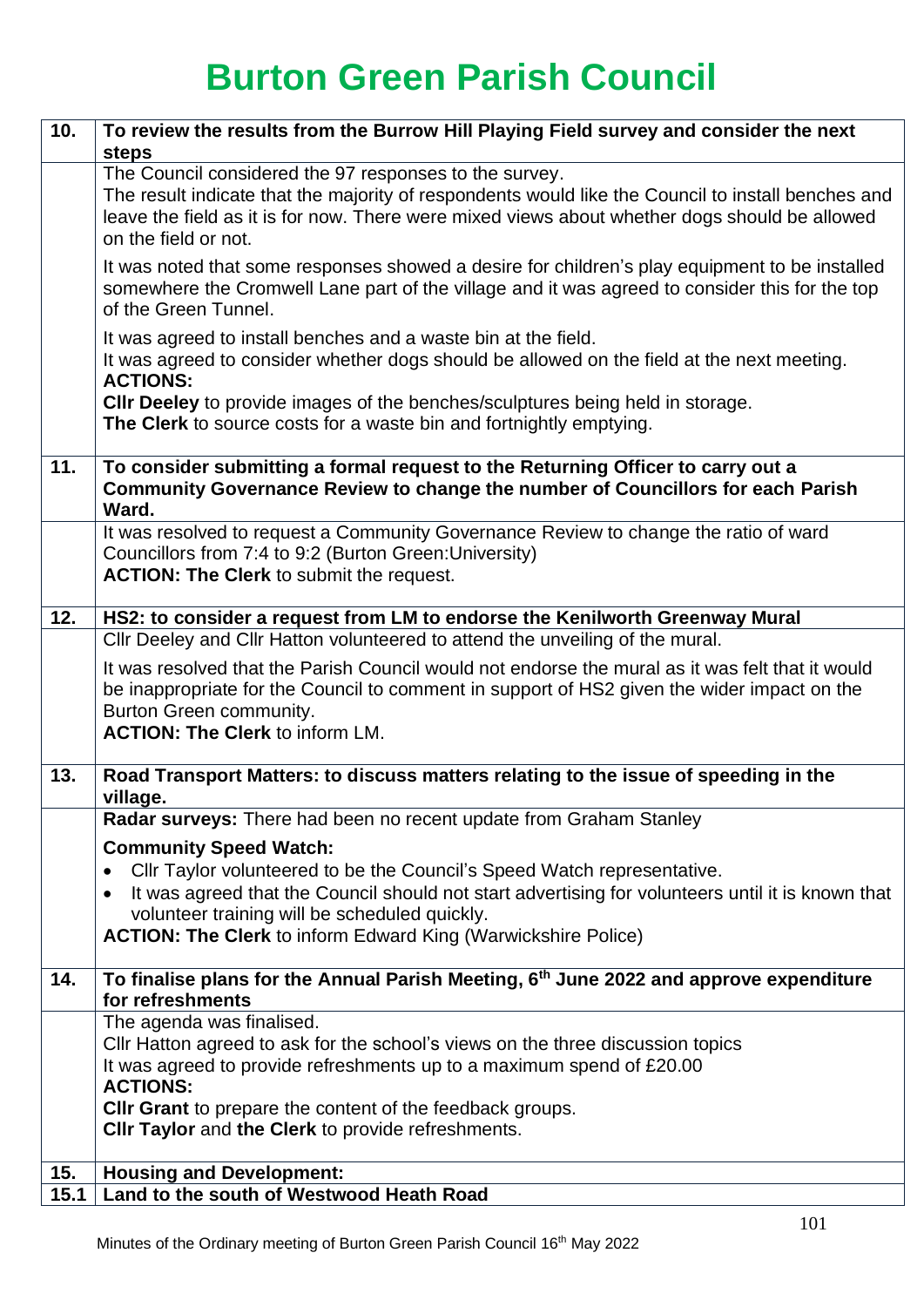| 10.         | To review the results from the Burrow Hill Playing Field survey and consider the next<br>steps                                                                                                                                                                                        |
|-------------|---------------------------------------------------------------------------------------------------------------------------------------------------------------------------------------------------------------------------------------------------------------------------------------|
|             | The Council considered the 97 responses to the survey.<br>The result indicate that the majority of respondents would like the Council to install benches and<br>leave the field as it is for now. There were mixed views about whether dogs should be allowed<br>on the field or not. |
|             | It was noted that some responses showed a desire for children's play equipment to be installed<br>somewhere the Cromwell Lane part of the village and it was agreed to consider this for the top<br>of the Green Tunnel.                                                              |
|             | It was agreed to install benches and a waste bin at the field.<br>It was agreed to consider whether dogs should be allowed on the field at the next meeting.<br><b>ACTIONS:</b>                                                                                                       |
|             | <b>CIIr Deeley</b> to provide images of the benches/sculptures being held in storage.<br>The Clerk to source costs for a waste bin and fortnightly emptying.                                                                                                                          |
| 11.         | To consider submitting a formal request to the Returning Officer to carry out a<br>Community Governance Review to change the number of Councillors for each Parish<br>Ward.                                                                                                           |
|             | It was resolved to request a Community Governance Review to change the ratio of ward<br>Councillors from 7:4 to 9:2 (Burton Green: University)<br>ACTION: The Clerk to submit the request.                                                                                            |
| 12.         | HS2: to consider a request from LM to endorse the Kenilworth Greenway Mural<br>Cllr Deeley and Cllr Hatton volunteered to attend the unveiling of the mural.                                                                                                                          |
|             | It was resolved that the Parish Council would not endorse the mural as it was felt that it would<br>be inappropriate for the Council to comment in support of HS2 given the wider impact on the<br>Burton Green community.<br><b>ACTION: The Clerk to inform LM.</b>                  |
| 13.         | Road Transport Matters: to discuss matters relating to the issue of speeding in the<br>village.                                                                                                                                                                                       |
|             | Radar surveys: There had been no recent update from Graham Stanley                                                                                                                                                                                                                    |
|             | <b>Community Speed Watch:</b>                                                                                                                                                                                                                                                         |
|             | Cllr Taylor volunteered to be the Council's Speed Watch representative.<br>$\bullet$<br>It was agreed that the Council should not start advertising for volunteers until it is known that                                                                                             |
|             | volunteer training will be scheduled quickly.                                                                                                                                                                                                                                         |
|             | <b>ACTION: The Clerk to inform Edward King (Warwickshire Police)</b>                                                                                                                                                                                                                  |
| 14.         | To finalise plans for the Annual Parish Meeting, 6 <sup>th</sup> June 2022 and approve expenditure<br>for refreshments                                                                                                                                                                |
|             | The agenda was finalised.                                                                                                                                                                                                                                                             |
|             | Cllr Hatton agreed to ask for the school's views on the three discussion topics<br>It was agreed to provide refreshments up to a maximum spend of £20.00                                                                                                                              |
|             | <b>ACTIONS:</b>                                                                                                                                                                                                                                                                       |
|             | CIIr Grant to prepare the content of the feedback groups.<br>CIIr Taylor and the Clerk to provide refreshments.                                                                                                                                                                       |
|             |                                                                                                                                                                                                                                                                                       |
| 15.<br>15.1 | <b>Housing and Development:</b><br>Land to the south of Westwood Heath Road                                                                                                                                                                                                           |
|             |                                                                                                                                                                                                                                                                                       |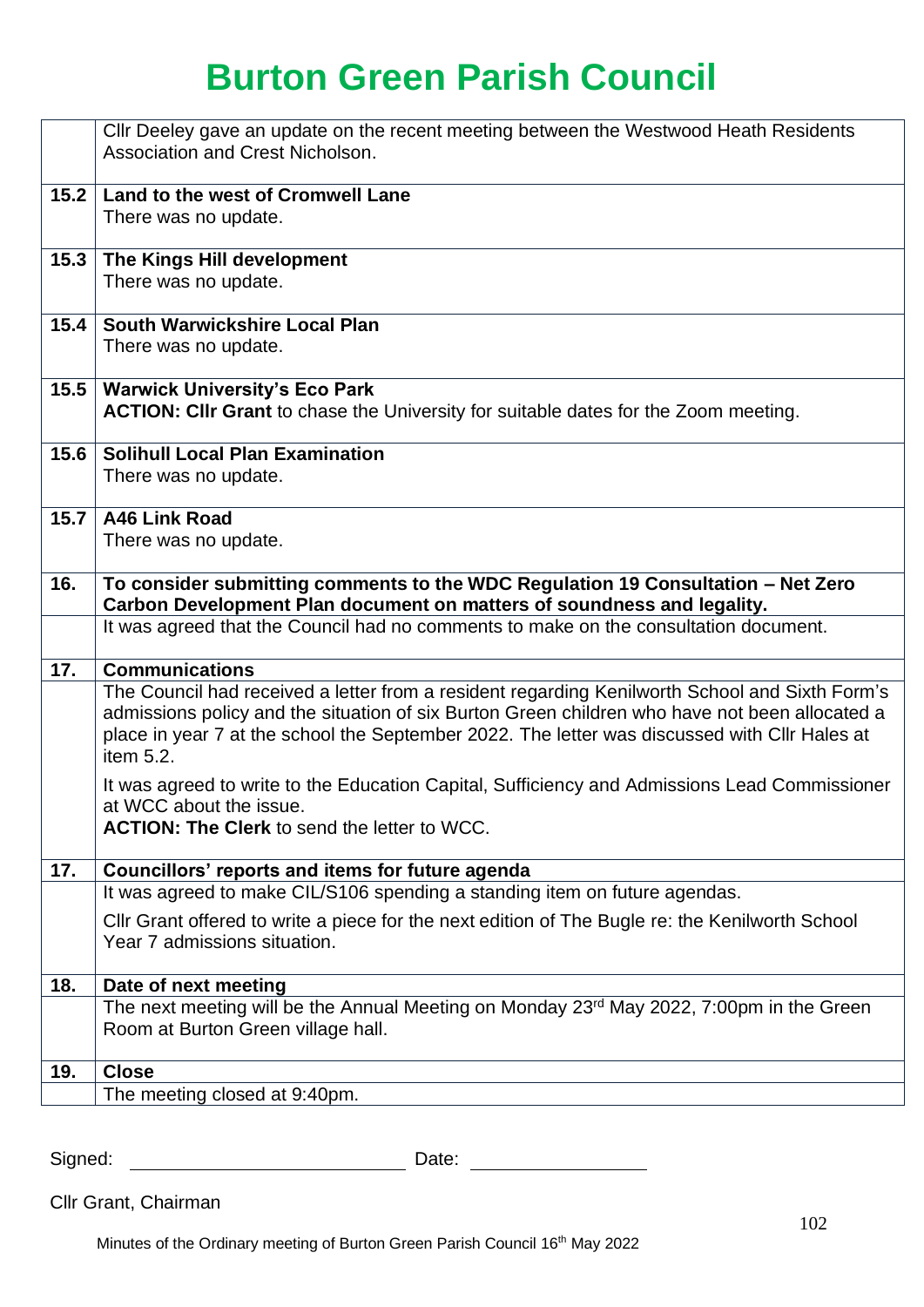|      | Cllr Deeley gave an update on the recent meeting between the Westwood Heath Residents<br>Association and Crest Nicholson.                                                                                                                                                                                                               |
|------|-----------------------------------------------------------------------------------------------------------------------------------------------------------------------------------------------------------------------------------------------------------------------------------------------------------------------------------------|
| 15.2 | Land to the west of Cromwell Lane<br>There was no update.                                                                                                                                                                                                                                                                               |
| 15.3 | The Kings Hill development<br>There was no update.                                                                                                                                                                                                                                                                                      |
| 15.4 | South Warwickshire Local Plan<br>There was no update.                                                                                                                                                                                                                                                                                   |
| 15.5 | <b>Warwick University's Eco Park</b><br>ACTION: CIIr Grant to chase the University for suitable dates for the Zoom meeting.                                                                                                                                                                                                             |
| 15.6 | <b>Solihull Local Plan Examination</b><br>There was no update.                                                                                                                                                                                                                                                                          |
| 15.7 | A46 Link Road<br>There was no update.                                                                                                                                                                                                                                                                                                   |
| 16.  | To consider submitting comments to the WDC Regulation 19 Consultation - Net Zero<br>Carbon Development Plan document on matters of soundness and legality.                                                                                                                                                                              |
|      | It was agreed that the Council had no comments to make on the consultation document.                                                                                                                                                                                                                                                    |
| 17.  | <b>Communications</b><br>The Council had received a letter from a resident regarding Kenilworth School and Sixth Form's<br>admissions policy and the situation of six Burton Green children who have not been allocated a<br>place in year 7 at the school the September 2022. The letter was discussed with Cllr Hales at<br>item 5.2. |
|      | It was agreed to write to the Education Capital, Sufficiency and Admissions Lead Commissioner<br>at WCC about the issue.<br><b>ACTION: The Clerk to send the letter to WCC.</b>                                                                                                                                                         |
| 17.  | Councillors' reports and items for future agenda                                                                                                                                                                                                                                                                                        |
|      | It was agreed to make CIL/S106 spending a standing item on future agendas.<br>Cllr Grant offered to write a piece for the next edition of The Bugle re: the Kenilworth School                                                                                                                                                           |
|      | Year 7 admissions situation.                                                                                                                                                                                                                                                                                                            |
| 18.  | Date of next meeting                                                                                                                                                                                                                                                                                                                    |
|      | The next meeting will be the Annual Meeting on Monday 23 <sup>rd</sup> May 2022, 7:00pm in the Green<br>Room at Burton Green village hall.                                                                                                                                                                                              |
| 19.  | <b>Close</b>                                                                                                                                                                                                                                                                                                                            |
|      | The meeting closed at 9:40pm.                                                                                                                                                                                                                                                                                                           |

Signed: Date:

Cllr Grant, Chairman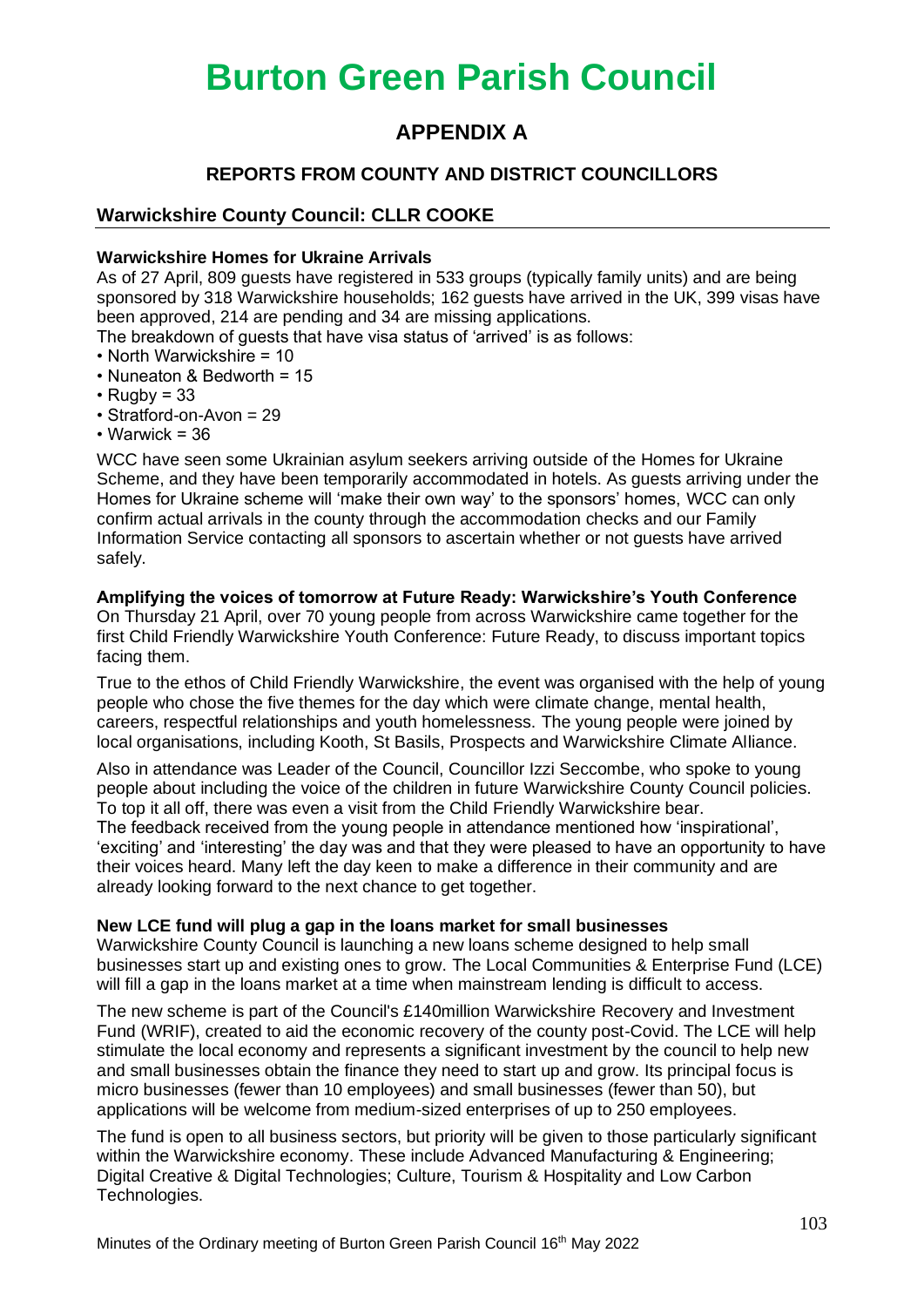### **APPENDIX A**

### **REPORTS FROM COUNTY AND DISTRICT COUNCILLORS**

### **Warwickshire County Council: CLLR COOKE**

#### **Warwickshire Homes for Ukraine Arrivals**

As of 27 April, 809 guests have registered in 533 groups (typically family units) and are being sponsored by 318 Warwickshire households; 162 guests have arrived in the UK, 399 visas have been approved, 214 are pending and 34 are missing applications.

The breakdown of guests that have visa status of 'arrived' is as follows:

- North Warwickshire = 10
- Nuneaton & Bedworth = 15
- $\cdot$  Rugby = 33
- Stratford-on-Avon = 29
- Warwick = 36

WCC have seen some Ukrainian asylum seekers arriving outside of the Homes for Ukraine Scheme, and they have been temporarily accommodated in hotels. As guests arriving under the Homes for Ukraine scheme will 'make their own way' to the sponsors' homes, WCC can only confirm actual arrivals in the county through the accommodation checks and our Family Information Service contacting all sponsors to ascertain whether or not guests have arrived safely.

#### **Amplifying the voices of tomorrow at Future Ready: Warwickshire's Youth Conference**

On Thursday 21 April, over 70 young people from across Warwickshire came together for the first Child Friendly Warwickshire Youth Conference: Future Ready, to discuss important topics facing them.

True to the ethos of Child Friendly Warwickshire, the event was organised with the help of young people who chose the five themes for the day which were climate change, mental health, careers, respectful relationships and youth homelessness. The young people were joined by local organisations, including Kooth, St Basils, Prospects and Warwickshire Climate Alliance.

Also in attendance was Leader of the Council, Councillor Izzi Seccombe, who spoke to young people about including the voice of the children in future Warwickshire County Council policies. To top it all off, there was even a visit from the Child Friendly Warwickshire bear. The feedback received from the young people in attendance mentioned how 'inspirational',

'exciting' and 'interesting' the day was and that they were pleased to have an opportunity to have their voices heard. Many left the day keen to make a difference in their community and are already looking forward to the next chance to get together.

#### **New LCE fund will plug a gap in the loans market for small businesses**

Warwickshire County Council is launching a new loans scheme designed to help small businesses start up and existing ones to grow. The Local Communities & Enterprise Fund (LCE) will fill a gap in the loans market at a time when mainstream lending is difficult to access.

The new scheme is part of the Council's £140million Warwickshire Recovery and Investment Fund (WRIF), created to aid the economic recovery of the county post-Covid. The LCE will help stimulate the local economy and represents a significant investment by the council to help new and small businesses obtain the finance they need to start up and grow. Its principal focus is micro businesses (fewer than 10 employees) and small businesses (fewer than 50), but applications will be welcome from medium-sized enterprises of up to 250 employees.

The fund is open to all business sectors, but priority will be given to those particularly significant within the Warwickshire economy. These include Advanced Manufacturing & Engineering; Digital Creative & Digital Technologies; Culture, Tourism & Hospitality and Low Carbon Technologies.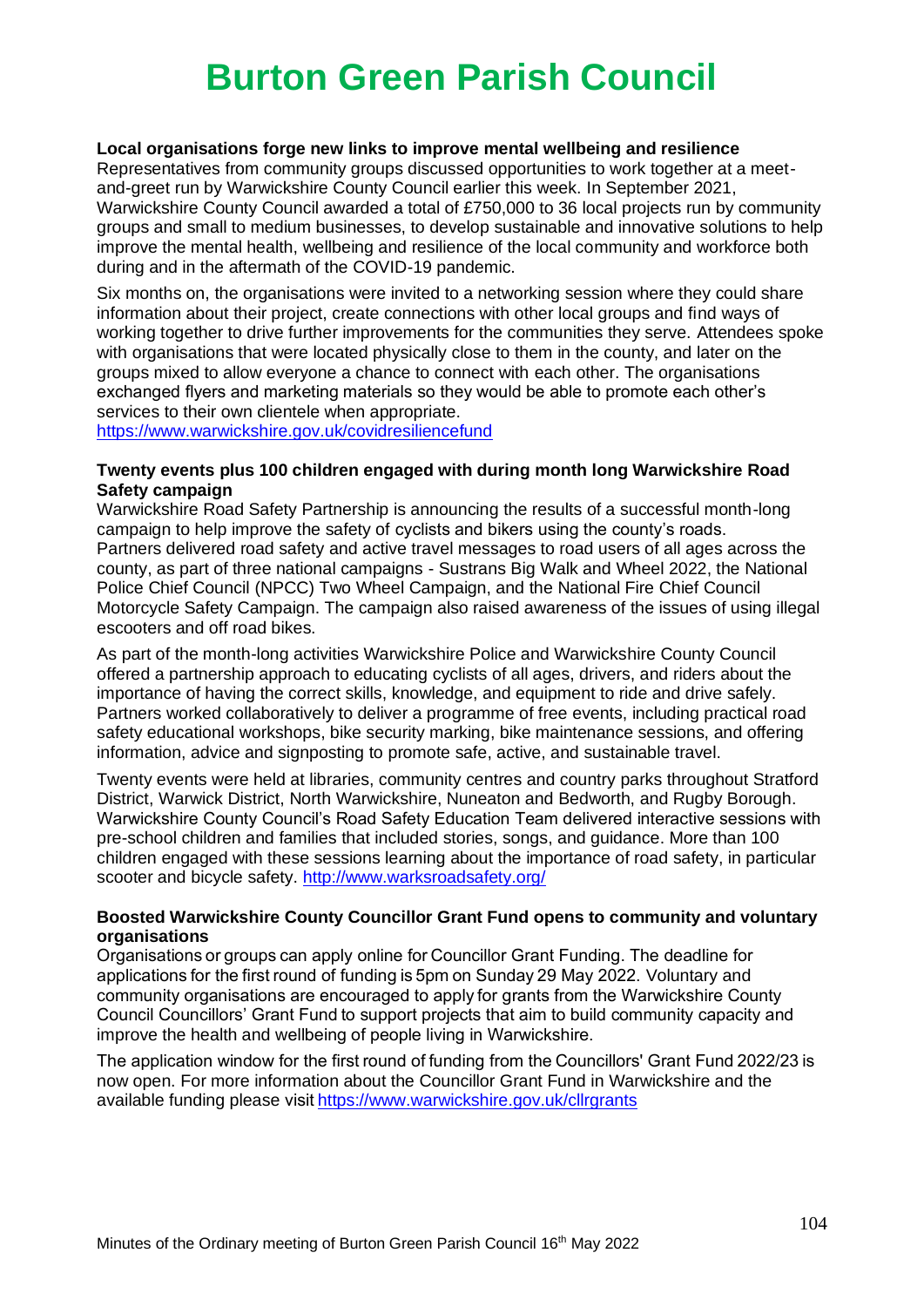#### **Local organisations forge new links to improve mental wellbeing and resilience**

Representatives from community groups discussed opportunities to work together at a meetand-greet run by Warwickshire County Council earlier this week. In September 2021, Warwickshire County Council awarded a total of £750,000 to 36 local projects run by community groups and small to medium businesses, to develop sustainable and innovative solutions to help improve the mental health, wellbeing and resilience of the local community and workforce both during and in the aftermath of the COVID-19 pandemic.

Six months on, the organisations were invited to a networking session where they could share information about their project, create connections with other local groups and find ways of working together to drive further improvements for the communities they serve. Attendees spoke with organisations that were located physically close to them in the county, and later on the groups mixed to allow everyone a chance to connect with each other. The organisations exchanged flyers and marketing materials so they would be able to promote each other's services to their own clientele when appropriate.

<https://www.warwickshire.gov.uk/covidresiliencefund>

#### **Twenty events plus 100 children engaged with during month long Warwickshire Road Safety campaign**

Warwickshire Road Safety Partnership is announcing the results of a successful month-long campaign to help improve the safety of cyclists and bikers using the county's roads. Partners delivered road safety and active travel messages to road users of all ages across the county, as part of three national campaigns - Sustrans Big Walk and Wheel 2022, the National Police Chief Council (NPCC) Two Wheel Campaign, and the National Fire Chief Council Motorcycle Safety Campaign. The campaign also raised awareness of the issues of using illegal escooters and off road bikes.

As part of the month-long activities Warwickshire Police and Warwickshire County Council offered a partnership approach to educating cyclists of all ages, drivers, and riders about the importance of having the correct skills, knowledge, and equipment to ride and drive safely. Partners worked collaboratively to deliver a programme of free events, including practical road safety educational workshops, bike security marking, bike maintenance sessions, and offering information, advice and signposting to promote safe, active, and sustainable travel.

Twenty events were held at libraries, community centres and country parks throughout Stratford District, Warwick District, North Warwickshire, Nuneaton and Bedworth, and Rugby Borough. Warwickshire County Council's Road Safety Education Team delivered interactive sessions with pre-school children and families that included stories, songs, and guidance. More than 100 children engaged with these sessions learning about the importance of road safety, in particular scooter and bicycle safety. <http://www.warksroadsafety.org/>

#### **Boosted Warwickshire County Councillor Grant Fund opens to community and voluntary organisations**

Organisations or groups can apply online for Councillor Grant Funding. The deadline for applications for the first round of funding is 5pm on Sunday 29 May 2022. Voluntary and community organisations are encouraged to apply for grants from the Warwickshire County Council Councillors' Grant Fund to support projects that aim to build community capacity and improve the health and wellbeing of people living in Warwickshire.  

The application window for the first round of funding from the Councillors' Grant Fund 2022/23 is now open. For more information about the Councillor Grant Fund in Warwickshire and the available funding please visi[t https://www.warwickshire.gov.uk/cllrgrants](https://www.warwickshire.gov.uk/cllrgrants)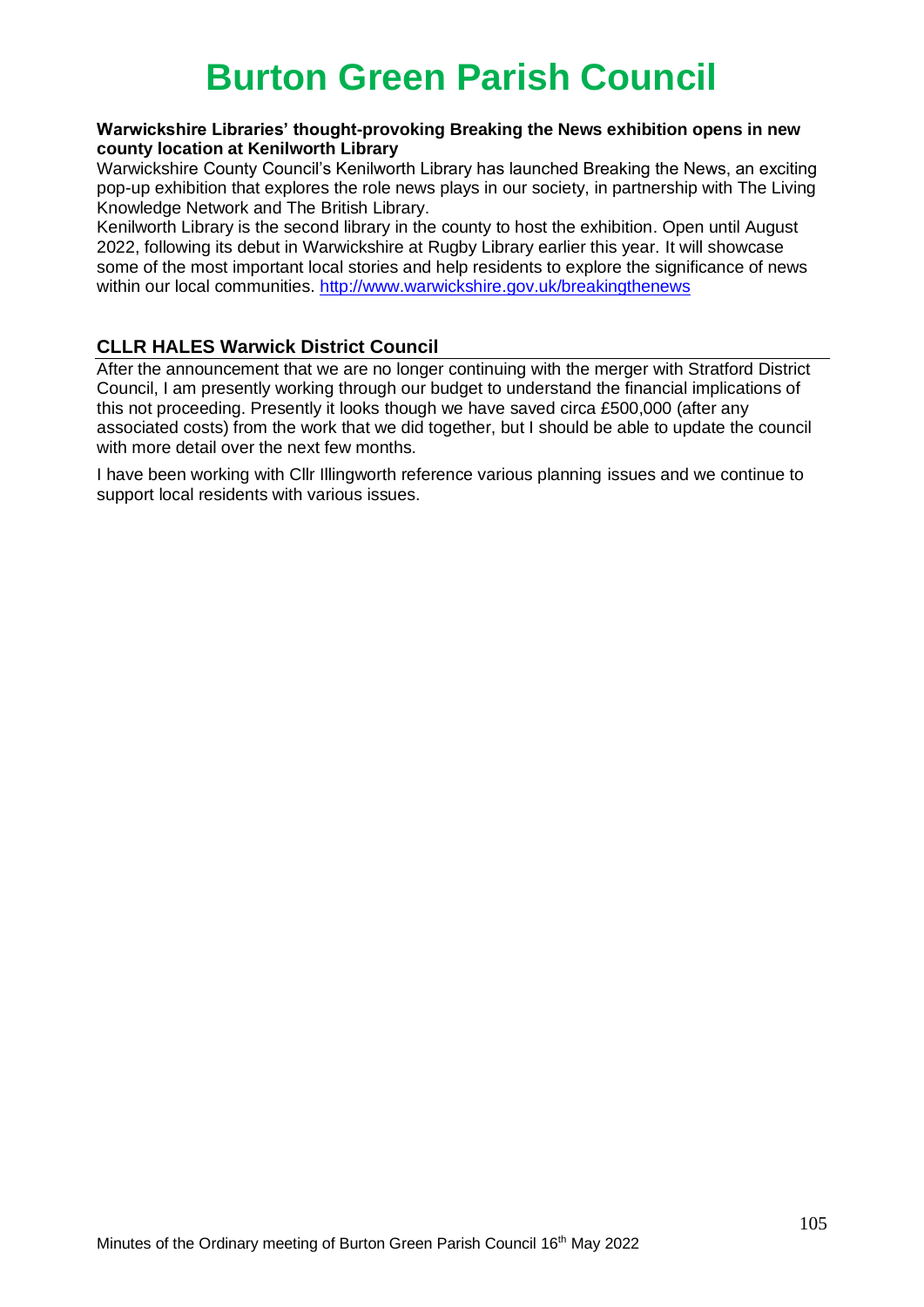#### **Warwickshire Libraries' thought-provoking Breaking the News exhibition opens in new county location at Kenilworth Library**

Warwickshire County Council's Kenilworth Library has launched Breaking the News, an exciting pop-up exhibition that explores the role news plays in our society, in partnership with The Living Knowledge Network and The British Library.

Kenilworth Library is the second library in the county to host the exhibition. Open until August 2022, following its debut in Warwickshire at Rugby Library earlier this year. It will showcase some of the most important local stories and help residents to explore the significance of news within our local communities. http://www.warwickshire.gov.uk/breakingthenews

### **CLLR HALES Warwick District Council**

After the announcement that we are no longer continuing with the merger with Stratford District Council, I am presently working through our budget to understand the financial implications of this not proceeding. Presently it looks though we have saved circa £500,000 (after any associated costs) from the work that we did together, but I should be able to update the council with more detail over the next few months.

I have been working with Cllr Illingworth reference various planning issues and we continue to support local residents with various issues.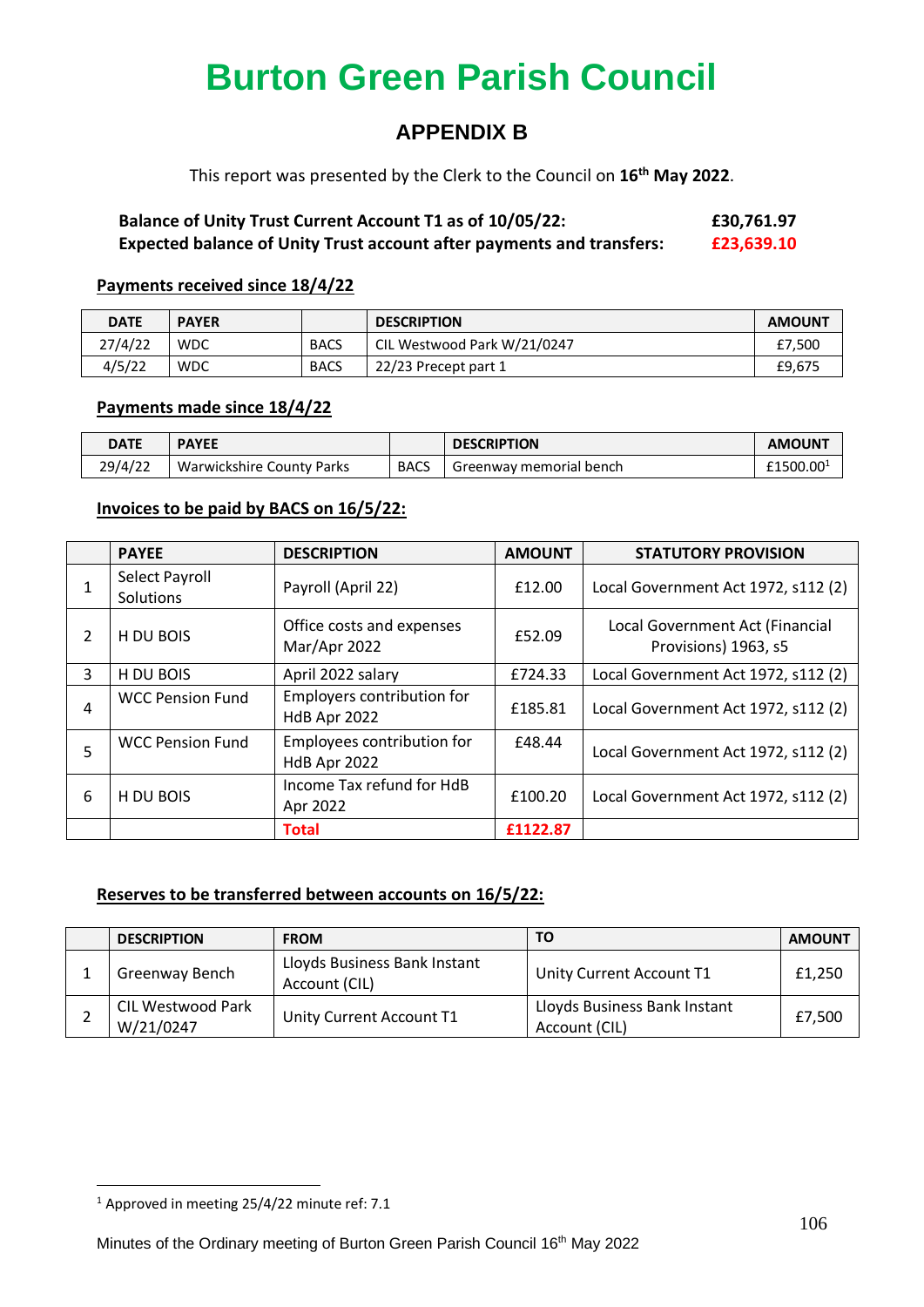### **APPENDIX B**

This report was presented by the Clerk to the Council on **16th May 2022**.

### **Balance of Unity Trust Current Account T1 as of 10/05/22: £30,761.97 Expected balance of Unity Trust account after payments and transfers: £23,639.10**

#### **Payments received since 18/4/22**

| <b>DATE</b> | <b>PAYER</b> |             | <b>DESCRIPTION</b>          | <b>AMOUNT</b> |
|-------------|--------------|-------------|-----------------------------|---------------|
| 27/4/22     | <b>WDC</b>   | <b>BACS</b> | CIL Westwood Park W/21/0247 | £7.500        |
| 4/5/22      | <b>WDC</b>   | <b>BACS</b> | 22/23 Precept part 1        | £9,675        |

#### **Payments made since 18/4/22**

| <b>DATE</b> | <b>PAYEE</b>              |             | <b>DESCRIPTION</b>      | <b>AMOUN1</b>         |
|-------------|---------------------------|-------------|-------------------------|-----------------------|
| 29/4/22     | Warwickshire County Parks | <b>BACS</b> | Greenway memorial bench | £1500.00 <sup>1</sup> |

#### **Invoices to be paid by BACS on 16/5/22:**

|   | <b>PAYEE</b>                | <b>DESCRIPTION</b>                         | <b>AMOUNT</b>                                                     | <b>STATUTORY PROVISION</b>          |
|---|-----------------------------|--------------------------------------------|-------------------------------------------------------------------|-------------------------------------|
|   | Select Payroll<br>Solutions | Payroll (April 22)                         | £12.00                                                            | Local Government Act 1972, s112 (2) |
| 2 | H DU BOIS                   | Office costs and expenses<br>Mar/Apr 2022  | Local Government Act (Financial<br>£52.09<br>Provisions) 1963, s5 |                                     |
| 3 | H DU BOIS                   | April 2022 salary                          | £724.33                                                           | Local Government Act 1972, s112 (2) |
| 4 | <b>WCC Pension Fund</b>     | Employers contribution for<br>HdB Apr 2022 | £185.81                                                           | Local Government Act 1972, s112 (2) |
| 5 | <b>WCC Pension Fund</b>     | Employees contribution for<br>HdB Apr 2022 | £48.44                                                            | Local Government Act 1972, s112 (2) |
| 6 | H DU BOIS                   | Income Tax refund for HdB<br>Apr 2022      | £100.20                                                           | Local Government Act 1972, s112 (2) |
|   |                             | <b>Total</b>                               | £1122.87                                                          |                                     |

#### **Reserves to be transferred between accounts on 16/5/22:**

| <b>DESCRIPTION</b>             | <b>FROM</b>                                   | ΤO                                            | <b>AMOUNT</b> |
|--------------------------------|-----------------------------------------------|-----------------------------------------------|---------------|
| Greenway Bench                 | Lloyds Business Bank Instant<br>Account (CIL) | Unity Current Account T1                      | £1,250        |
| CIL Westwood Park<br>W/21/0247 | Unity Current Account T1                      | Lloyds Business Bank Instant<br>Account (CIL) | £7.500        |

 $1$  Approved in meeting 25/4/22 minute ref: 7.1

Minutes of the Ordinary meeting of Burton Green Parish Council 16th May 2022